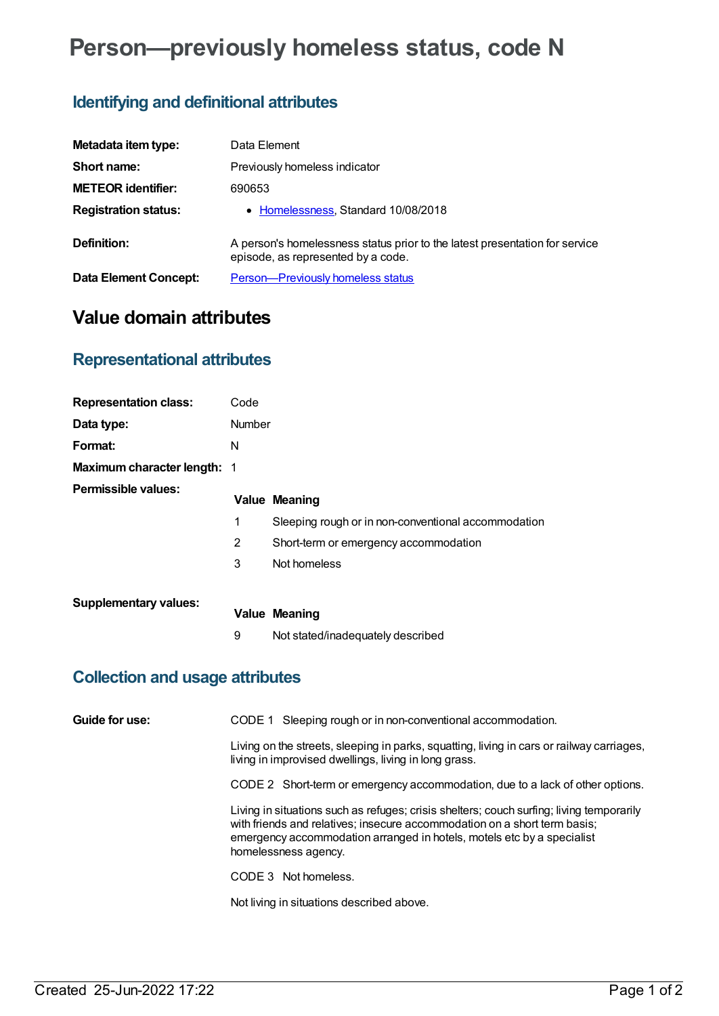# **Person—previously homeless status, code N**

## **Identifying and definitional attributes**

| Metadata item type:          | Data Element                                                                                                      |
|------------------------------|-------------------------------------------------------------------------------------------------------------------|
| Short name:                  | Previously homeless indicator                                                                                     |
| <b>METEOR identifier:</b>    | 690653                                                                                                            |
| <b>Registration status:</b>  | • Homelessness, Standard 10/08/2018                                                                               |
| Definition:                  | A person's homelessness status prior to the latest presentation for service<br>episode, as represented by a code. |
| <b>Data Element Concept:</b> | <b>Person-Previously homeless status</b>                                                                          |

## **Value domain attributes**

#### **Representational attributes**

| <b>Representation class:</b> | Code   |                                                     |
|------------------------------|--------|-----------------------------------------------------|
| Data type:                   | Number |                                                     |
| Format:                      | N      |                                                     |
| Maximum character length: 1  |        |                                                     |
| Permissible values:          |        | <b>Value Meaning</b>                                |
|                              | 1      | Sleeping rough or in non-conventional accommodation |
|                              | 2      | Short-term or emergency accommodation               |
|                              | 3      | Not homeless                                        |
| <b>Supplementary values:</b> |        | <b>Value Meaning</b>                                |
|                              | 9      | Not stated/inadequately described                   |

#### **Collection and usage attributes**

| Guide for use: | CODE 1 Sleeping rough or in non-conventional accommodation.                                                                                                                                                                                                             |
|----------------|-------------------------------------------------------------------------------------------------------------------------------------------------------------------------------------------------------------------------------------------------------------------------|
|                | Living on the streets, sleeping in parks, squatting, living in cars or railway carriages,<br>living in improvised dwellings, living in long grass.                                                                                                                      |
|                | CODE 2 Short-term or emergency accommodation, due to a lack of other options.                                                                                                                                                                                           |
|                | Living in situations such as refuges; crisis shelters; couch surfing; living temporarily<br>with friends and relatives; insecure accommodation on a short term basis;<br>emergency accommodation arranged in hotels, motels etc by a specialist<br>homelessness agency. |
|                | CODE 3 Not homeless.                                                                                                                                                                                                                                                    |
|                | Not living in situations described above.                                                                                                                                                                                                                               |